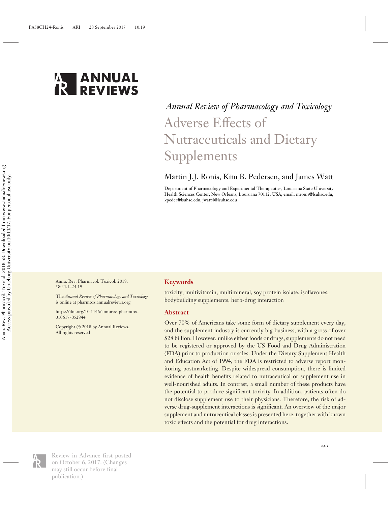

# *Annual Review of Pharmacology and Toxicology* Adverse Effects of Nutraceuticals and Dietary Supplements

## Martin J.J. Ronis, Kim B. Pedersen, and James Watt

Department of Pharmacology and Experimental Therapeutics, Louisiana State University Health Sciences Center, New Orleans, Louisiana 70112, USA; email: mronis@lsuhsc.edu, kpeder@lsuhsc.edu, jwatt4@lsuhsc.edu

Annu. Rev. Pharmacol. Toxicol. 2018. 58:24.1–24.19

The *Annual Review of Pharmacology and Toxicology* is online at pharmtox.annualreviews.org

[https://doi.org/10.1146/annurev-pharmtox-](https://doi.org/10.1146/annurev-pharmtox-010617-052844)[010617-052844](https://doi.org/10.1146/annurev-pharmtox-010617-052844)

Copyright © 2018 by Annual Reviews. All rights reserved

## **Keywords**

toxicity, multivitamin, multimineral, soy protein isolate, isoflavones, bodybuilding supplements, herb-drug interaction

## **Abstract**

Over 70% of Americans take some form of dietary supplement every day, and the supplement industry is currently big business, with a gross of over \$28 billion. However, unlike either foods or drugs, supplements do not need to be registered or approved by the US Food and Drug Administration (FDA) prior to production or sales. Under the Dietary Supplement Health and Education Act of 1994, the FDA is restricted to adverse report monitoring postmarketing. Despite widespread consumption, there is limited evidence of health benefits related to nutraceutical or supplement use in well-nourished adults. In contrast, a small number of these products have the potential to produce significant toxicity. In addition, patients often do not disclose supplement use to their physicians. Therefore, the risk of adverse drug-supplement interactions is significant. An overview of the major supplement and nutraceutical classes is presented here, together with known toxic effects and the potential for drug interactions.



Review in Advance first posted on October 6, 2017. (Changes may still occur before final publication.)

*24.1*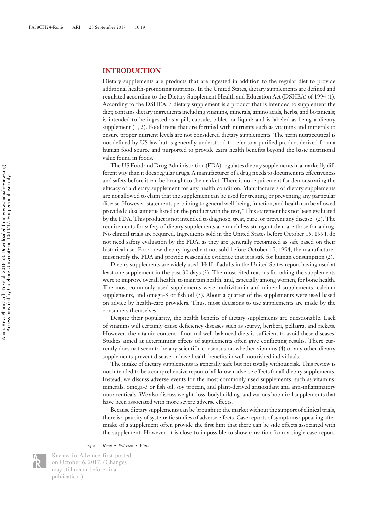## **INTRODUCTION**

Dietary supplements are products that are ingested in addition to the regular diet to provide additional health-promoting nutrients. In the United States, dietary supplements are defined and regulated according to the Dietary Supplement Health and Education Act (DSHEA) of 1994 (1). According to the DSHEA, a dietary supplement is a product that is intended to supplement the diet; contains dietary ingredients including vitamins, minerals, amino acids, herbs, and botanicals; is intended to be ingested as a pill, capsule, tablet, or liquid; and is labeled as being a dietary supplement (1, 2). Food items that are fortified with nutrients such as vitamins and minerals to ensure proper nutrient levels are not considered dietary supplements. The term nutraceutical is not defined by US law but is generally understood to refer to a purified product derived from a human food source and purported to provide extra health benefits beyond the basic nutritional value found in foods.

The US Food and Drug Administration (FDA) regulates dietary supplements in a markedly different way than it does regular drugs. A manufacturer of a drug needs to document its effectiveness and safety before it can be brought to the market. There is no requirement for demonstrating the efficacy of a dietary supplement for any health condition. Manufacturers of dietary supplements are not allowed to claim that the supplement can be used for treating or preventing any particular disease. However, statements pertaining to general well-being, function, and health can be allowed provided a disclaimer is listed on the product with the text, "This statement has not been evaluated by the FDA. This product is not intended to diagnose, treat, cure, or prevent any disease" (2). The requirements for safety of dietary supplements are much less stringent than are those for a drug. No clinical trials are required. Ingredients sold in the United States before October 15, 1994, do not need safety evaluation by the FDA, as they are generally recognized as safe based on their historical use. For a new dietary ingredient not sold before October 15, 1994, the manufacturer must notify the FDA and provide reasonable evidence that it is safe for human consumption (2).

Dietary supplements are widely used. Half of adults in the United States report having used at least one supplement in the past 30 days (3). The most cited reasons for taking the supplements were to improve overall health, to maintain health, and, especially among women, for bone health. The most commonly used supplements were multivitamin and mineral supplements, calcium supplements, and omega-3 or fish oil (3). About a quarter of the supplements were used based on advice by health-care providers. Thus, most decisions to use supplements are made by the consumers themselves.

Despite their popularity, the health benefits of dietary supplements are questionable. Lack of vitamins will certainly cause deficiency diseases such as scurvy, beriberi, pellagra, and rickets. However, the vitamin content of normal well-balanced diets is sufficient to avoid these diseases. Studies aimed at determining effects of supplements often give conflicting results. There currently does not seem to be any scientific consensus on whether vitamins (4) or any other dietary supplements prevent disease or have health benefits in well-nourished individuals.

The intake of dietary supplements is generally safe but not totally without risk. This review is not intended to be a comprehensive report of all known adverse effects for all dietary supplements. Instead, we discuss adverse events for the most commonly used supplements, such as vitamins, minerals, omega-3 or fish oil, soy protein, and plant-derived antioxidant and anti-inflammatory nutraceuticals. We also discuss weight-loss, bodybuilding, and various botanical supplements that have been associated with more severe adverse effects.

Because dietary supplements can be brought to the market without the support of clinical trials, there is a paucity of systematic studies of adverse effects. Case reports of symptoms appearing after intake of a supplement often provide the first hint that there can be side effects associated with the supplement. However, it is close to impossible to show causation from a single case report.

*24.2 Ronis* · *Pedersen* · *Watt*

Review in Advance first posted on October 6, 2017. (Changes may still occur before final publication.)

 ${\mathbf R}$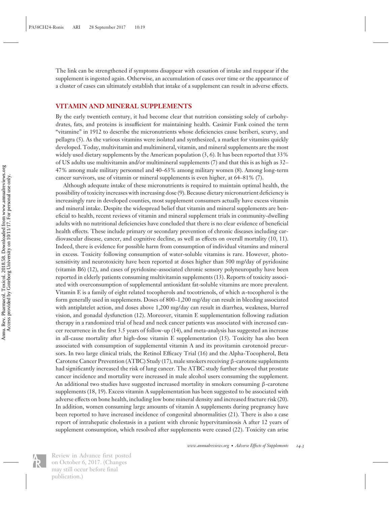The link can be strengthened if symptoms disappear with cessation of intake and reappear if the supplement is ingested again. Otherwise, an accumulation of cases over time or the appearance of a cluster of cases can ultimately establish that intake of a supplement can result in adverse effects.

## **VITAMIN AND MINERAL SUPPLEMENTS**

By the early twentieth century, it had become clear that nutrition consisting solely of carbohydrates, fats, and proteins is insufficient for maintaining health. Casimir Funk coined the term "vitamine" in 1912 to describe the micronutrients whose deficiencies cause beriberi, scurvy, and pellagra (5). As the various vitamins were isolated and synthesized, a market for vitamins quickly developed. Today, multivitamin and multimineral, vitamin, and mineral supplements are the most widely used dietary supplements by the American population  $(3, 6)$ . It has been reported that 33% of US adults use multivitamin and/or multimineral supplements (7) and that this is as high as 32– 47% among male military personnel and 40–63% among military women (8). Among long-term cancer survivors, use of vitamin or mineral supplements is even higher, at 64–81% (7).

Although adequate intake of these micronutrients is required to maintain optimal health, the possibility of toxicity increases with increasing dose (9). Because dietary micronutrient deficiency is increasingly rare in developed counties, most supplement consumers actually have excess vitamin and mineral intake. Despite the widespread belief that vitamin and mineral supplements are beneficial to health, recent reviews of vitamin and mineral supplement trials in community-dwelling adults with no nutritional deficiencies have concluded that there is no clear evidence of beneficial health effects. These include primary or secondary prevention of chronic diseases including cardiovascular disease, cancer, and cognitive decline, as well as effects on overall mortality (10, 11). Indeed, there is evidence for possible harm from consumption of individual vitamins and mineral in excess. Toxicity following consumption of water-soluble vitamins is rare. However, photosensitivity and neurotoxicity have been reported at doses higher than 500 mg/day of pyridoxine (vitamin B6) (12), and cases of pyridoxine-associated chronic sensory polyneuropathy have been reported in elderly patients consuming multivitamin supplements (13). Reports of toxicity associated with overconsumption of supplemental antioxidant fat-soluble vitamins are more prevalent. Vitamin E is a family of eight related to copherols and to cotrienols, of which  $\alpha$ -tocopherol is the form generally used in supplements. Doses of 800–1,200 mg/day can result in bleeding associated with antiplatelet action, and doses above 1,200 mg/day can result in diarrhea, weakness, blurred vision, and gonadal dysfunction (12). Moreover, vitamin E supplementation following radiation therapy in a randomized trial of head and neck cancer patients was associated with increased cancer recurrence in the first 3.5 years of follow-up (14), and meta-analysis has suggested an increase in all-cause mortality after high-dose vitamin E supplementation (15). Toxicity has also been associated with consumption of supplemental vitamin A and its provitamin carotenoid precursors. In two large clinical trials, the Retinol Efficacy Trial (16) and the Alpha-Tocopherol, Beta Carotene Cancer Prevention (ATBC) Study (17), male smokers receiving β-carotene supplements had significantly increased the risk of lung cancer. The ATBC study further showed that prostate cancer incidence and mortality were increased in male alcohol users consuming the supplement. An additional two studies have suggested increased mortality in smokers consuming  $\beta$ -carotene supplements (18, 19). Excess vitamin A supplementation has been suggested to be associated with adverse effects on bone health, including low bone mineral density and increased fracture risk (20). In addition, women consuming large amounts of vitamin A supplements during pregnancy have been reported to have increased incidence of congenital abnormalities (21). There is also a case report of intrahepatic cholestasis in a patient with chronic hypervitaminosis A after 12 years of supplement consumption, which resolved after supplements were ceased (22). Toxicity can arise

*www.annualreviews.org* • *Adverse Effects of Supplements 24.3*

Annu. Rev. Pharmacol. Toxicol. 2018.58. Downloaded from www.annualreviews.org<br>Access provided by Goteborg University on 10/11/17. For personal use only. Annu. Rev. Pharmacol. Toxicol. 2018.58. Downloaded from www.annualreviews.org Access provided by Goteborg University on 10/11/17. For personal use only.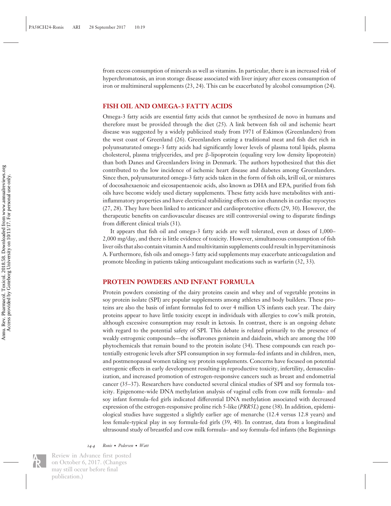from excess consumption of minerals as well as vitamins. In particular, there is an increased risk of hyperchromatosis, an iron storage disease associated with liver injury after excess consumption of iron or multimineral supplements (23, 24). This can be exacerbated by alcohol consumption (24).

## **FISH OIL AND OMEGA-3 FATTY ACIDS**

Omega-3 fatty acids are essential fatty acids that cannot be synthesized de novo in humans and therefore must be provided through the diet (25). A link between fish oil and ischemic heart disease was suggested by a widely publicized study from 1971 of Eskimos (Greenlanders) from the west coast of Greenland (26). Greenlanders eating a traditional meat and fish diet rich in polyunsaturated omega-3 fatty acids had significantly lower levels of plasma total lipids, plasma cholesterol, plasma triglycerides, and pre β-lipoprotein (equaling very low density lipoprotein) than both Danes and Greenlanders living in Denmark. The authors hypothesized that this diet contributed to the low incidence of ischemic heart disease and diabetes among Greenlanders. Since then, polyunsaturated omega-3 fatty acids taken in the form of fish oils, krill oil, or mixtures of docosahexaenoic and eicosapentaenoic acids, also known as DHA and EPA, purified from fish oils have become widely used dietary supplements. These fatty acids have metabolites with antiinflammatory properties and have electrical stabilizing effects on ion channels in cardiac myocytes (27, 28). They have been linked to anticancer and cardioprotective effects (29, 30). However, the therapeutic benefits on cardiovascular diseases are still controversial owing to disparate findings from different clinical trials (31).

It appears that fish oil and omega-3 fatty acids are well tolerated, even at doses of 1,000– 2,000 mg/day, and there is little evidence of toxicity. However, simultaneous consumption of fish liver oils that also contain vitamin A and multivitamin supplements could result in hypervitaminosis A. Furthermore, fish oils and omega-3 fatty acid supplements may exacerbate anticoagulation and promote bleeding in patients taking anticoagulant medications such as warfarin (32, 33).

#### **PROTEIN POWDERS AND INFANT FORMULA**

Protein powders consisting of the dairy proteins casein and whey and of vegetable proteins in soy protein isolate (SPI) are popular supplements among athletes and body builders. These proteins are also the basis of infant formulas fed to over 4 million US infants each year. The dairy proteins appear to have little toxicity except in individuals with allergies to cow's milk protein, although excessive consumption may result in ketosis. In contrast, there is an ongoing debate with regard to the potential safety of SPI. This debate is related primarily to the presence of weakly estrogenic compounds—the isoflavones genistein and daidzein, which are among the 100 phytochemicals that remain bound to the protein isolate (34). These compounds can reach potentially estrogenic levels after SPI consumption in soy formula–fed infants and in children, men, and postmenopausal women taking soy protein supplements. Concerns have focused on potential estrogenic effects in early development resulting in reproductive toxicity, infertility, demasculinization, and increased promotion of estrogen-responsive cancers such as breast and endometrial cancer (35–37). Researchers have conducted several clinical studies of SPI and soy formula toxicity. Epigenome-wide DNA methylation analysis of vaginal cells from cow milk formula– and soy infant formula–fed girls indicated differential DNA methylation associated with decreased expression of the estrogen-responsive proline rich 5-like (*PRR5L*) gene (38). In addition, epidemiological studies have suggested a slightly earlier age of menarche (12.4 versus 12.8 years) and less female-typical play in soy formula-fed girls (39, 40). In contrast, data from a longitudinal ultrasound study of breastfed and cow milk formula– and soy formula–fed infants (the Beginnings

Review in Advance first posted on October 6, 2017. (Changes may still occur before final publication.)

 ${\mathbf R}$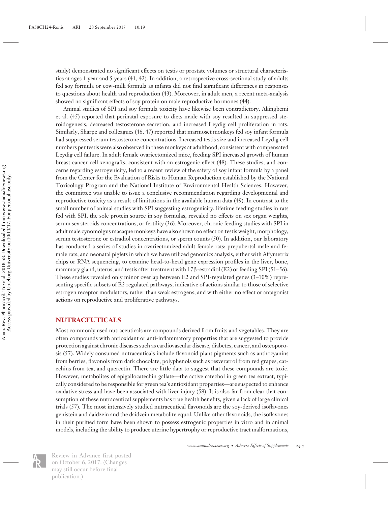study) demonstrated no significant effects on testis or prostate volumes or structural characteristics at ages 1 year and 5 years (41, 42). In addition, a retrospective cross-sectional study of adults fed soy formula or cow-milk formula as infants did not find significant differences in responses to questions about health and reproduction (43). Moreover, in adult men, a recent meta-analysis showed no significant effects of soy protein on male reproductive hormones (44).

Animal studies of SPI and soy formula toxicity have likewise been contradictory. Akingbemi et al. (45) reported that perinatal exposure to diets made with soy resulted in suppressed steroidogenesis, decreased testosterone secretion, and increased Leydig cell proliferation in rats. Similarly, Sharpe and colleagues (46, 47) reported that marmoset monkeys fed soy infant formula had suppressed serum testosterone concentrations. Increased testis size and increased Leydig cell numbers per testis were also observed in these monkeys at adulthood, consistent with compensated Leydig cell failure. In adult female ovariectomized mice, feeding SPI increased growth of human breast cancer cell xenografts, consistent with an estrogenic effect (48). These studies, and concerns regarding estrogenicity, led to a recent review of the safety of soy infant formula by a panel from the Center for the Evaluation of Risks to Human Reproduction established by the National Toxicology Program and the National Institute of Environmental Health Sciences. However, the committee was unable to issue a conclusive recommendation regarding developmental and reproductive toxicity as a result of limitations in the available human data (49). In contrast to the small number of animal studies with SPI suggesting estrogenicity, lifetime feeding studies in rats fed with SPI, the sole protein source in soy formulas, revealed no effects on sex organ weights, serum sex steroids concentrations, or fertility (36). Moreover, chronic feeding studies with SPI in adult male cynomolgus macaque monkeys have also shown no effect on testis weight, morphology, serum testosterone or estradiol concentrations, or sperm counts (50). In addition, our laboratory has conducted a series of studies in ovariectomized adult female rats; prepubertal male and female rats; and neonatal piglets in which we have utilized genomics analysis, either with Affymetrix chips or RNA sequencing, to examine head-to-head gene expression profiles in the liver, bone, mammary gland, uterus, and testis after treatment with  $17\beta$ -estradiol (E2) or feeding SPI (51–56). These studies revealed only minor overlap between E2 and SPI-regulated genes (3–10%) representing specific subsets of E2 regulated pathways, indicative of actions similar to those of selective estrogen receptor modulators, rather than weak estrogens, and with either no effect or antagonist actions on reproductive and proliferative pathways.

## **NUTRACEUTICALS**

Most commonly used nutraceuticals are compounds derived from fruits and vegetables. They are often compounds with antioxidant or anti-inflammatory properties that are suggested to provide protection against chronic diseases such as cardiovascular disease, diabetes, cancer, and osteoporosis (57). Widely consumed nutraceuticals include flavonoid plant pigments such as anthocyanins from berries, flavonols from dark chocolate, polyphenols such as resveratrol from red grapes, catechins from tea, and quercetin. There are little data to suggest that these compounds are toxic. However, metabolites of epigallocatechin gallate—the active catechol in green tea extract, typically considered to be responsible for green tea's antioxidant properties—are suspected to enhance oxidative stress and have been associated with liver injury (58). It is also far from clear that consumption of these nutraceutical supplements has true health benefits, given a lack of large clinical trials (57). The most intensively studied nutraceutical flavonoids are the soy-derived isoflavones genistein and daidzein and the daidzein metabolite equol. Unlike other flavonoids, the isoflavones in their purified form have been shown to possess estrogenic properties in vitro and in animal models, including the ability to produce uterine hypertrophy or reproductive tract malformations,

*www.annualreviews.org* • *Adverse Effects of Supplements 24.5*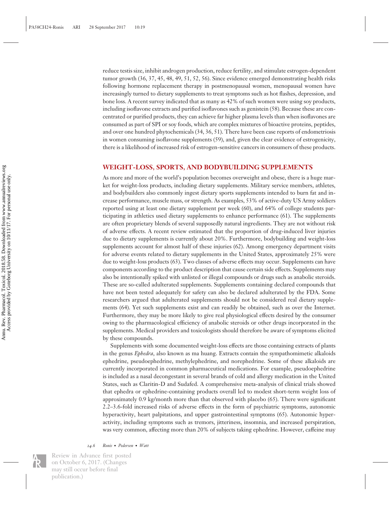reduce testis size, inhibit androgen production, reduce fertility, and stimulate estrogen-dependent tumor growth (36, 37, 45, 48, 49, 51, 52, 56). Since evidence emerged demonstrating health risks following hormone replacement therapy in postmenopausal women, menopausal women have increasingly turned to dietary supplements to treat symptoms such as hot flashes, depression, and bone loss. A recent survey indicated that as many as 42% of such women were using soy products, including isoflavone extracts and purified isoflavones such as genistein (58). Because these are concentrated or purified products, they can achieve far higher plasma levels than when isoflavones are consumed as part of SPI or soy foods, which are complex mixtures of bioactive proteins, peptides, and over one hundred phytochemicals (34, 36, 51). There have been case reports of endometriosis in women consuming isoflavone supplements (59), and, given the clear evidence of estrogenicity, there is a likelihood of increased risk of estrogen-sensitive cancers in consumers of these products.

#### **WEIGHT-LOSS, SPORTS, AND BODYBUILDING SUPPLEMENTS**

As more and more of the world's population becomes overweight and obese, there is a huge market for weight-loss products, including dietary supplements. Military service members, athletes, and bodybuilders also commonly ingest dietary sports supplements intended to burn fat and increase performance, muscle mass, or strength. As examples, 53% of active-duty US Army soldiers reported using at least one dietary supplement per week (60), and 64% of college students participating in athletics used dietary supplements to enhance performance (61). The supplements are often proprietary blends of several supposedly natural ingredients. They are not without risk of adverse effects. A recent review estimated that the proportion of drug-induced liver injuries due to dietary supplements is currently about 20%. Furthermore, bodybuilding and weight-loss supplements account for almost half of these injuries (62). Among emergency department visits for adverse events related to dietary supplements in the United States, approximately 25% were due to weight-loss products (63). Two classes of adverse effects may occur. Supplements can have components according to the product description that cause certain side effects. Supplements may also be intentionally spiked with unlisted or illegal compounds or drugs such as anabolic steroids. These are so-called adulterated supplements. Supplements containing declared compounds that have not been tested adequately for safety can also be declared adulterated by the FDA. Some researchers argued that adulterated supplements should not be considered real dietary supplements (64). Yet such supplements exist and can readily be obtained, such as over the Internet. Furthermore, they may be more likely to give real physiological effects desired by the consumer owing to the pharmacological efficiency of anabolic steroids or other drugs incorporated in the supplements. Medical providers and toxicologists should therefore be aware of symptoms elicited by these compounds.

Supplements with some documented weight-loss effects are those containing extracts of plants in the genus *Ephedra*, also known as ma huang. Extracts contain the sympathomimetic alkaloids ephedrine, pseudoephedrine, methylephedrine, and norephedrine. Some of these alkaloids are currently incorporated in common pharmaceutical medications. For example, pseudoephedrine is included as a nasal decongestant in several brands of cold and allergy medication in the United States, such as Claritin-D and Sudafed. A comprehensive meta-analysis of clinical trials showed that ephedra or ephedrine-containing products overall led to modest short-term weight loss of approximately 0.9 kg/month more than that observed with placebo (65). There were significant 2.2–3.6-fold increased risks of adverse effects in the form of psychiatric symptoms, autonomic hyperactivity, heart palpitations, and upper gastrointestinal symptoms (65). Autonomic hyperactivity, including symptoms such as tremors, jitteriness, insomnia, and increased perspiration, was very common, affecting more than 20% of subjects taking ephedrine. However, caffeine may

Review in Advance first posted on October 6, 2017. (Changes may still occur before final publication.)

TR.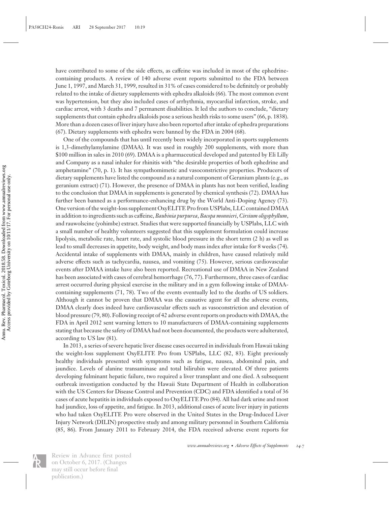have contributed to some of the side effects, as caffeine was included in most of the ephedrinecontaining products. A review of 140 adverse event reports submitted to the FDA between June 1, 1997, and March 31, 1999, resulted in 31% of cases considered to be definitely or probably related to the intake of dietary supplements with ephedra alkaloids (66). The most common event was hypertension, but they also included cases of arrhythmia, myocardial infarction, stroke, and cardiac arrest, with 3 deaths and 7 permanent disabilities. It led the authors to conclude, "dietary supplements that contain ephedra alkaloids pose a serious health risks to some users" (66, p. 1838). More than a dozen cases of liver injury have also been reported after intake of ephedra preparations (67). Dietary supplements with ephedra were banned by the FDA in 2004 (68).

One of the compounds that has until recently been widely incorporated in sports supplements is 1,3-dimethylamylamine (DMAA). It was used in roughly 200 supplements, with more than \$100 million in sales in 2010 (69). DMAA is a pharmaceutical developed and patented by Eli Lilly and Company as a nasal inhaler for rhinitis with "the desirable properties of both ephedrine and amphetamine" (70, p. 1). It has sympathomimetic and vasoconstrictive properties. Producers of dietary supplements have listed the compound as a natural component of Geranium plants (e.g., as geranium extract) (71). However, the presence of DMAA in plants has not been verified, leading to the conclusion that DMAA in supplements is generated by chemical synthesis (72). DMAA has further been banned as a performance-enhancing drug by the World Anti-Doping Agency (73). One version of the weight-loss supplement OxyELITE Pro from USPlabs, LLC contained DMAA in addition to ingredients such as caffeine, *Bauhinia purpurea*, *Bacopa monnieri*, *Cirsium oligophyllum*, and rauwolscine (yohimbe) extract. Studies that were supported financially by USPlabs, LLC with a small number of healthy volunteers suggested that this supplement formulation could increase lipolysis, metabolic rate, heart rate, and systolic blood pressure in the short term (2 h) as well as lead to small decreases in appetite, body weight, and body mass index after intake for 8 weeks (74). Accidental intake of supplements with DMAA, mainly in children, have caused relatively mild adverse effects such as tachycardia, nausea, and vomiting (75). However, serious cardiovascular events after DMAA intake have also been reported. Recreational use of DMAA in New Zealand has been associated with cases of cerebral hemorrhage (76, 77). Furthermore, three cases of cardiac arrest occurred during physical exercise in the military and in a gym following intake of DMAAcontaining supplements (71, 78). Two of the events eventually led to the deaths of US soldiers. Although it cannot be proven that DMAA was the causative agent for all the adverse events, DMAA clearly does indeed have cardiovascular effects such as vasoconstriction and elevation of blood pressure (79, 80). Following receipt of 42 adverse event reports on products with DMAA, the FDA in April 2012 sent warning letters to 10 manufacturers of DMAA-containing supplements stating that because the safety of DMAA had not been documented, the products were adulterated, according to US law (81).

In 2013, a series of severe hepatic liver disease cases occurred in individuals from Hawaii taking the weight-loss supplement OxyELITE Pro from USPlabs, LLC (82, 83). Eight previously healthy individuals presented with symptoms such as fatigue, nausea, abdominal pain, and jaundice. Levels of alanine transaminase and total bilirubin were elevated. Of three patients developing fulminant hepatic failure, two required a liver transplant and one died. A subsequent outbreak investigation conducted by the Hawaii State Department of Health in collaboration with the US Centers for Disease Control and Prevention (CDC) and FDA identified a total of 36 cases of acute hepatitis in individuals exposed to OxyELITE Pro (84). All had dark urine and most had jaundice, loss of appetite, and fatigue. In 2013, additional cases of acute liver injury in patients who had taken OxyELITE Pro were observed in the United States in the Drug-Induced Liver Injury Network (DILIN) prospective study and among military personnel in Southern California (85, 86). From January 2011 to February 2014, the FDA received adverse event reports for

*www.annualreviews.org* • *Adverse Effects of Supplements 24.7*

Review in Advance first posted on October 6, 2017. (Changes may still occur before final publication.)

 ${\mathbf R}$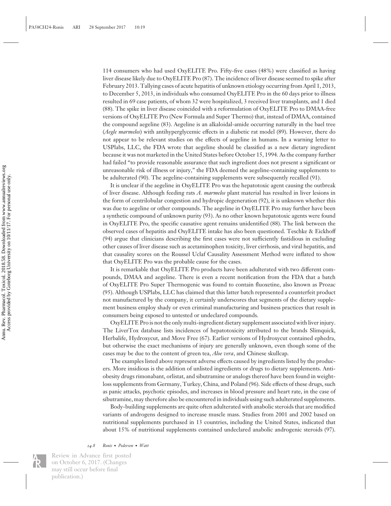114 consumers who had used OxyELITE Pro. Fifty-five cases (48%) were classified as having liver disease likely due to OxyELITE Pro (87). The incidence of liver disease seemed to spike after February 2013. Tallying cases of acute hepatitis of unknown etiology occurring from April 1, 2013, to December 5, 2013, in individuals who consumed OxyELITE Pro in the 60 days prior to illness resulted in 69 case patients, of whom 32 were hospitalized, 3 received liver transplants, and 1 died (88). The spike in liver disease coincided with a reformulation of OxyELITE Pro to DMAA-free versions of OxyELITE Pro (New Formula and Super Thermo) that, instead of DMAA, contained the compound aegeline (83). Aegeline is an alkaloidal-amide occurring naturally in the bael tree (*Aegle marmelos*) with antihyperglycemic effects in a diabetic rat model (89). However, there do not appear to be relevant studies on the effects of aegeline in humans. In a warning letter to USPlabs, LLC, the FDA wrote that aegeline should be classified as a new dietary ingredient because it was not marketed in the United States before October 15, 1994. As the company further had failed "to provide reasonable assurance that such ingredient does not present a significant or unreasonable risk of illness or injury," the FDA deemed the aegeline-containing supplements to be adulterated (90). The aegeline-containing supplements were subsequently recalled (91).

It is unclear if the aegeline in OxyELITE Pro was the hepatotoxic agent causing the outbreak of liver disease. Although feeding rats *A. marmelos* plant material has resulted in liver lesions in the form of centrilobular congestion and hydropic degeneration (92), it is unknown whether this was due to aegeline or other compounds. The aegeline in OxyELITE Pro may further have been a synthetic compound of unknown purity (93). As no other known hepatotoxic agents were found in OxyELITE Pro, the specific causative agent remains unidentified (88). The link between the observed cases of hepatitis and OxyELITE intake has also been questioned. Teschke & Eickhoff (94) argue that clinicians describing the first cases were not sufficiently fastidious in excluding other causes of liver disease such as acetaminophen toxicity, liver cirrhosis, and viral hepatitis, and that causality scores on the Roussel Uclaf Causality Assessment Method were inflated to show that OxyELITE Pro was the probable cause for the cases.

It is remarkable that OxyELITE Pro products have been adulterated with two different compounds, DMAA and aegeline. There is even a recent notification from the FDA that a batch of OxyELITE Pro Super Thermogenic was found to contain fluoxetine, also known as Prozac (95). Although USPlabs, LLC has claimed that this latter batch represented a counterfeit product not manufactured by the company, it certainly underscores that segments of the dietary supplement business employ shady or even criminal manufacturing and business practices that result in consumers being exposed to untested or undeclared compounds.

OxyELITE Pro is not the only multi-ingredient dietary supplement associated with liver injury. The LiverTox database lists incidences of hepatotoxicity attributed to the brands Slimquick, Herbalife, Hydroxycut, and Move Free (67). Earlier versions of Hydroxycut contained ephedra, but otherwise the exact mechanisms of injury are generally unknown, even though some of the cases may be due to the content of green tea, *Aloe vera*, and Chinese skullcap.

The examples listed above represent adverse effects caused by ingredients listed by the producers. More insidious is the addition of unlisted ingredients or drugs to dietary supplements. Antiobesity drugs rimonabant, orlistat, and sibutramine or analogs thereof have been found in weightloss supplements from Germany, Turkey, China, and Poland (96). Side effects of these drugs, such as panic attacks, psychotic episodes, and increases in blood pressure and heart rate, in the case of sibutramine, may therefore also be encountered in individuals using such adulterated supplements.

Body-building supplements are quite often adulterated with anabolic steroids that are modified variants of androgens designed to increase muscle mass. Studies from 2001 and 2002 based on nutritional supplements purchased in 13 countries, including the United States, indicated that about 15% of nutritional supplements contained undeclared anabolic androgenic steroids (97).

*24.8 Ronis* · *Pedersen* · *Watt*

Review in Advance first posted on October 6, 2017. (Changes may still occur before final publication.)

 $\mathbf R$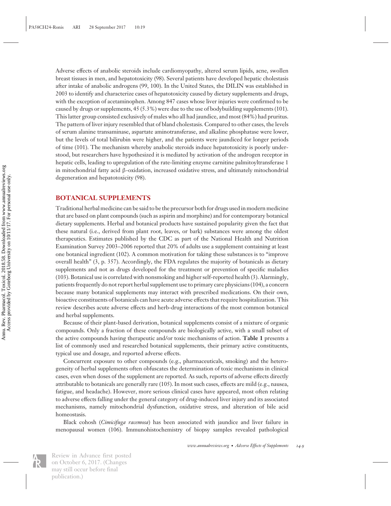Adverse effects of anabolic steroids include cardiomyopathy, altered serum lipids, acne, swollen breast tissues in men, and hepatotoxicity (98). Several patients have developed hepatic cholestasis after intake of anabolic androgens (99, 100). In the United States, the DILIN was established in 2003 to identify and characterize cases of hepatotoxicity caused by dietary supplements and drugs, with the exception of acetaminophen. Among 847 cases whose liver injuries were confirmed to be caused by drugs or supplements, 45 (5.3%) were due to the use of bodybuilding supplements (101). This latter group consisted exclusively of males who all had jaundice, and most (84%) had pruritus. The pattern of liver injury resembled that of bland cholestasis. Compared to other cases, the levels of serum alanine transaminase, aspartate aminotransferase, and alkaline phosphatase were lower, but the levels of total bilirubin were higher, and the patients were jaundiced for longer periods of time (101). The mechanism whereby anabolic steroids induce hepatotoxicity is poorly understood, but researchers have hypothesized it is mediated by activation of the androgen receptor in hepatic cells, leading to upregulation of the rate-limiting enzyme carnitine palmitoyltransferase 1 in mitochondrial fatty acid β-oxidation, increased oxidative stress, and ultimately mitochondrial degeneration and hepatotoxicity (98).

## **BOTANICAL SUPPLEMENTS**

Traditional herbal medicine can be said to be the precursor both for drugs used in modern medicine that are based on plant compounds (such as aspirin and morphine) and for contemporary botanical dietary supplements. Herbal and botanical products have sustained popularity given the fact that these natural (i.e., derived from plant root, leaves, or bark) substances were among the oldest therapeutics. Estimates published by the CDC as part of the National Health and Nutrition Examination Survey 2003–2006 reported that 20% of adults use a supplement containing at least one botanical ingredient (102). A common motivation for taking these substances is to "improve overall health" (3, p. 357). Accordingly, the FDA regulates the majority of botanicals as dietary supplements and not as drugs developed for the treatment or prevention of specific maladies (103). Botanical use is correlated with nonsmoking and higher self-reported health (3). Alarmingly, patients frequently do not report herbal supplement use to primary care physicians (104), a concern because many botanical supplements may interact with prescribed medications. On their own, bioactive constituents of botanicals can have acute adverse effects that require hospitalization. This review describes acute adverse effects and herb-drug interactions of the most common botanical and herbal supplements.

Because of their plant-based derivation, botanical supplements consist of a mixture of organic compounds. Only a fraction of these compounds are biologically active, with a small subset of the active compounds having therapeutic and/or toxic mechanisms of action. **Table 1** presents a list of commonly used and researched botanical supplements, their primary active constituents, typical use and dosage, and reported adverse effects.

Concurrent exposure to other compounds (e.g., pharmaceuticals, smoking) and the heterogeneity of herbal supplements often obfuscates the determination of toxic mechanisms in clinical cases, even when doses of the supplement are reported. As such, reports of adverse effects directly attributable to botanicals are generally rare (105). In most such cases, effects are mild (e.g., nausea, fatigue, and headache). However, more serious clinical cases have appeared, most often relating to adverse effects falling under the general category of drug-induced liver injury and its associated mechanisms, namely mitochondrial dysfunction, oxidative stress, and alteration of bile acid homeostasis.

Black cohosh (*Cimicifuga racemosa*) has been associated with jaundice and liver failure in menopausal women (106). Immunohistochemistry of biopsy samples revealed pathological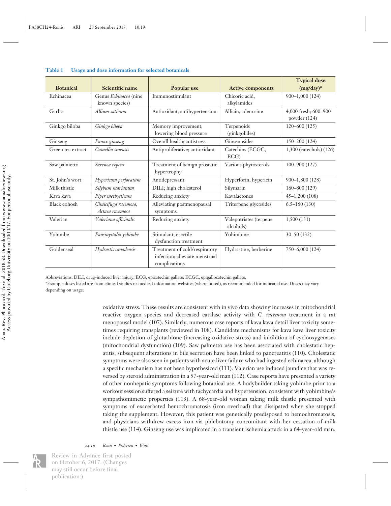| <b>Botanical</b>    | Scientific name                         | Popular use                                                                      | <b>Active components</b>            | <b>Typical dose</b><br>$(mg/day)^a$  |
|---------------------|-----------------------------------------|----------------------------------------------------------------------------------|-------------------------------------|--------------------------------------|
| Echinacea           | Genus Echinacea (nine<br>known species) | Immunostimulant                                                                  | Chicoric acid.<br>alkylamides       | $900 - 1,000$ (124)                  |
| Garlic              | Allium sativum                          | Antioxidant; antihypertension                                                    | Allicin, adenosine                  | 4,000 fresh; 600-900<br>powder (124) |
| Ginkgo biloba       | Ginkgo biloba                           | Memory improvement;<br>lowering blood pressure                                   | Terpenoids<br>(ginkgolides)         | $120 - 600(125)$                     |
| Ginseng             | Panax ginseng                           | Overall health; antistress                                                       | Ginsenosides                        | $150 - 200(124)$                     |
| Green tea extract   | Camellia sinensis                       | Antiproliferative; antioxidant                                                   | Catechins (ECGC,<br>ECG)            | 1,300 (catechols) (126)              |
| Saw palmetto        | Serenoa repens                          | Treatment of benign prostatic<br>hypertrophy                                     | Various phytosterols                | $100 - 900(127)$                     |
| St. John's wort     | Hypericum perforatum                    | Antidepressant                                                                   | Hyperforin, hypericin               | $900 - 1,800(128)$                   |
| Milk thistle        | Silybum marianum                        | DILI; high cholesterol                                                           | Silymarin                           | $160 - 800(129)$                     |
| Kava kava           | Piper methysticum                       | Reducing anxiety                                                                 | Kavalactones                        | $45 - 1,200(108)$                    |
| <b>Black</b> cohosh | Cimicifuga racemosa,<br>Actaea racemosa | Alleviating postmenopausal<br>symptoms                                           | Triterpene glycosides               | $6.5 - 160(130)$                     |
| Valerian            | Valeriana officinalis                   | Reducing anxiety                                                                 | Valepotriates (terpene<br>alcohols) | 1,500(131)                           |
| Yohimbe             | Pausinystalia yohimbe                   | Stimulant; erectile<br>dysfunction treatment                                     | Yohimbine                           | $30 - 50(132)$                       |
| Goldenseal          | Hydrastis canadensis                    | Treatment of cold/respiratory<br>infection; alleviate menstrual<br>complications | Hydrastine, berberine               | 750-6,000 (124)                      |

#### **Table 1 Usage and dose information for selected botanicals**

Abbreviations: DILI, drug-induced liver injury; ECG, epicatechin gallate; ECGC, epigallocatechin gallate.

<sup>a</sup>Example doses listed are from clinical studies or medical information websites (where noted), as recommended for indicated use. Doses may vary depending on usage.

> oxidative stress. These results are consistent with in vivo data showing increases in mitochondrial reactive oxygen species and decreased catalase activity with *C. racemosa* treatment in a rat menopausal model (107). Similarly, numerous case reports of kava kava detail liver toxicity sometimes requiring transplants (reviewed in 108). Candidate mechanisms for kava kava liver toxicity include depletion of glutathione (increasing oxidative stress) and inhibition of cyclooxygenases (mitochondrial dysfunction) (109). Saw palmetto use has been associated with cholestatic hepatitis; subsequent alterations in bile secretion have been linked to pancreatitis (110). Cholestatic symptoms were also seen in patients with acute liver failure who had ingested echinacea, although a specific mechanism has not been hypothesized (111). Valerian use induced jaundice that was reversed by steroid administration in a 57-year-old man (112). Case reports have presented a variety of other nonhepatic symptoms following botanical use. A bodybuilder taking yohimbe prior to a workout session suffered a seizure with tachycardia and hypertension, consistent with yohimbine's sympathomimetic properties (113). A 68-year-old woman taking milk thistle presented with symptoms of exacerbated hemochromatosis (iron overload) that dissipated when she stopped taking the supplement. However, this patient was genetically predisposed to hemochromatosis, and physicians withdrew excess iron via phlebotomy concomitant with her cessation of milk thistle use (114). Ginseng use was implicated in a transient ischemia attack in a 64-year-old man,

*24.10 Ronis* · *Pedersen* · *Watt*

Review in Advance first posted on October 6, 2017. (Changes may still occur before final publication.)

 $\mathbf R$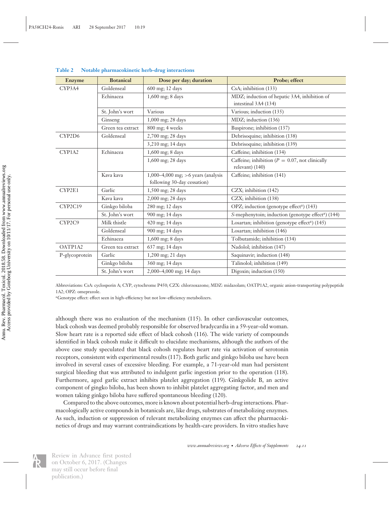| <b>Enzyme</b>  | <b>Botanical</b>  | Dose per day; duration             | Probe; effect                                                  |
|----------------|-------------------|------------------------------------|----------------------------------------------------------------|
| CYP3A4         | Goldenseal        | 600 mg; 12 days                    | CsA; inhibition (133)                                          |
|                | Echinacea         | 1,600 mg; 8 days                   | MDZ; induction of hepatic 3A4, inhibition of                   |
|                |                   |                                    | intestinal 3A4 (134)                                           |
|                | St. John's wort   | Various                            | Various; induction (135)                                       |
|                | Ginseng           | 1,000 mg; 28 days                  | MDZ; induction (136)                                           |
|                | Green tea extract | 800 mg; 4 weeks                    | Buspirone; inhibition (137)                                    |
| CYP2D6         | Goldenseal        | 2,700 mg; 28 days                  | Debrisoquine; inhibition (138)                                 |
|                |                   | 3,210 mg; 14 days                  | Debrisoquine; inhibition (139)                                 |
| CYP1A2         | Echinacea         | 1,600 mg; 8 days                   | Caffeine; inhibition (134)                                     |
|                |                   | 1,600 mg; 28 days                  | Caffeine; inhibition ( $P = 0.07$ , not clinically             |
|                |                   |                                    | relevant) (140)                                                |
|                | Kava kava         | 1,000-4,000 mg; >6 years (analysis | Caffeine; inhibition (141)                                     |
|                |                   | following 30-day cessation)        |                                                                |
| CYP2E1         | Garlic            | 1,500 mg; 28 days                  | CZX; inhibition (142)                                          |
|                | Kava kava         | 2,000 mg; 28 days                  | CZX; inhibition (138)                                          |
| CYP2C19        | Ginkgo biloba     | 280 mg; 12 days                    | OPZ; induction (genotype effect <sup>a</sup> ) (143)           |
|                | St. John's wort   | 900 mg; 14 days                    | S-mephenytoin; induction (genotype effect <sup>a</sup> ) (144) |
| CYP2C9         | Milk thistle      | 420 mg; 14 days                    | Losartan; inhibition (genotype effect <sup>a</sup> ) (145)     |
|                | Goldenseal        | 900 mg; 14 days                    | Losartan; inhibition (146)                                     |
|                | Echinacea         | 1,600 mg; 8 days                   | Tolbutamide; inhibition (134)                                  |
| OATP1A2        | Green tea extract | 637 mg; 14 days                    | Nadolol; inhibition (147)                                      |
| P-glycoprotein | Garlic            | 1,200 mg; 21 days                  | Saquinavir; induction (148)                                    |
|                | Ginkgo biloba     | 360 mg; 14 days                    | Talinolol; inhibition (149)                                    |
|                | St. John's wort   | 2,000-4,000 mg; 14 days            | Digoxin; induction (150)                                       |

#### **Table 2 Notable pharmacokinetic herb-drug interactions**

Abbreviations: CsA: cyclosporin A; CYP, cytochrome P450; CZX: chlorzoxazone; MDZ: midazolam; OATP1A2, organic anion-transporting polypeptide 1A2; OPZ: omeprazole.

<sup>a</sup>Genotype effect: effect seen in high-efficiency but not low-efficiency metabolizers.

although there was no evaluation of the mechanism (115). In other cardiovascular outcomes, black cohosh was deemed probably responsible for observed bradycardia in a 59-year-old woman. Slow heart rate is a reported side effect of black cohosh (116). The wide variety of compounds identified in black cohosh make it difficult to elucidate mechanisms, although the authors of the above case study speculated that black cohosh regulates heart rate via activation of serotonin receptors, consistent with experimental results (117). Both garlic and ginkgo biloba use have been involved in several cases of excessive bleeding. For example, a 71-year-old man had persistent surgical bleeding that was attributed to indulgent garlic ingestion prior to the operation (118). Furthermore, aged garlic extract inhibits platelet aggregation (119). Ginkgolide B, an active component of gingko biloba, has been shown to inhibit platelet aggregating factor, and men and women taking ginkgo biloba have suffered spontaneous bleeding (120).

Compared to the above outcomes, more is known about potential herb-drug interactions. Pharmacologically active compounds in botanicals are, like drugs, substrates of metabolizing enzymes. As such, induction or suppression of relevant metabolizing enzymes can affect the pharmacokinetics of drugs and may warrant contraindications by health-care providers. In vitro studies have

 $\mathbf R$ 

on October 6, 2017. (Changes may still occur before final publication.)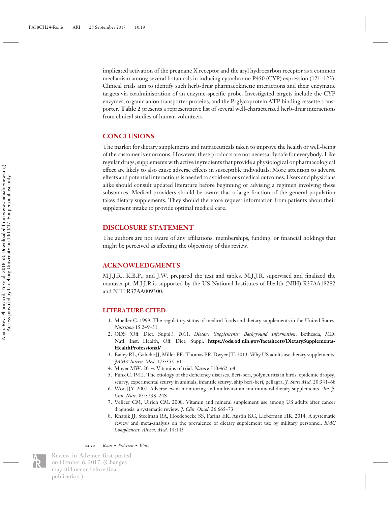implicated activation of the pregnane X receptor and the aryl hydrocarbon receptor as a common mechanism among several botanicals in inducing cytochrome P450 (CYP) expression (121–123). Clinical trials aim to identify such herb-drug pharmacokinetic interactions and their enzymatic targets via coadministration of an enzyme-specific probe. Investigated targets include the CYP enzymes, organic anion transporter proteins, and the P-glycoprotein ATP binding cassette transporter. **Table 2** presents a representative list of several well-characterized herb-drug interactions from clinical studies of human volunteers.

## **CONCLUSIONS**

The market for dietary supplements and nutraceuticals taken to improve the health or well-being of the customer is enormous. However, these products are not necessarily safe for everybody. Like regular drugs, supplements with active ingredients that provide a physiological or pharmacological effect are likely to also cause adverse effects in susceptible individuals. More attention to adverse effects and potential interactions is needed to avoid serious medical outcomes. Users and physicians alike should consult updated literature before beginning or advising a regimen involving these substances. Medical providers should be aware that a large fraction of the general population takes dietary supplements. They should therefore request information from patients about their supplement intake to provide optimal medical care.

## **DISCLOSURE STATEMENT**

The authors are not aware of any affiliations, memberships, funding, or financial holdings that might be perceived as affecting the objectivity of this review.

#### **ACKNOWLEDGMENTS**

M.J.J.R., K.B.P., and J.W. prepared the text and tables. M.J.J.R. supervised and finalized the manuscript. M.J.J.R.is supported by the US National Institutes of Health (NIH) R37AA18282 and NIH R37AA009300.

#### **LITERATURE CITED**

- 1. Mueller C. 1999. The regulatory status of medical foods and dietary supplements in the United States. *Nutrition* 15:249–51
- 2. ODS (Off. Diet. Suppl.). 2011. *Dietary Supplements: Background Information*. Bethesda, MD: Natl. Inst. Health, Off. Diet. Suppl. **[https://ods.od.nih.gov/factsheets/DietarySupplements-](https://ods.od.nih.gov/factsheets/DietarySupplements-HealthProfessional/)[HealthProfessional/](https://ods.od.nih.gov/factsheets/DietarySupplements-HealthProfessional/)**
- 3. Bailey RL, Gahche JJ, Miller PE, Thomas PR, Dwyer JT. 2013. Why US adults use dietary supplements. *JAMA Intern. Med.* 173:355–61
- 4. Moyer MW. 2014. Vitamins of trial. *Nature* 510:462–64
- 5. Funk C. 1912. The etiology of the deficiency diseases. Beri-beri, polyneuritis in birds, epidemic dropsy, scurvy, experimental scurvy in animals, infantile scurvy, ship beri-beri, pellagra. *J. State Med.* 20:341–68
- 6. Woo JJY. 2007. Adverse event monitoring and multivitamin-multimineral dietary supplements. *Am. J. Clin. Nutr.* 85:323S–24S
- 7. Velicer CM, Ulrich CM. 2008. Vitamin and mineral supplement use among US adults after cancer diagnosis: a systematic review. *J. Clin. Oncol.* 26:665–73
- 8. Knapik JJ, Steelman RA, Hoedebecke SS, Farina EK, Austin KG, Lieberman HR. 2014. A systematic review and meta-analysis on the prevalence of dietary supplement use by military personnel. *BMC Complement. Altern. Med.* 14:143

*24.12 Ronis* · *Pedersen* · *Watt*

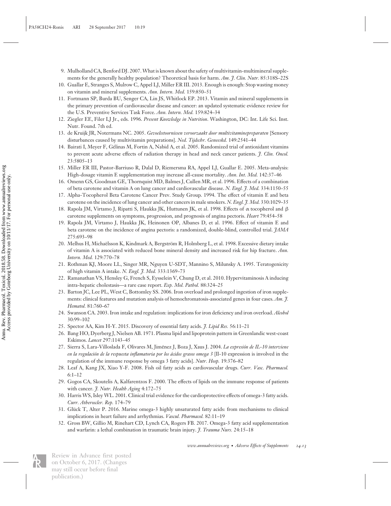- 9. Mulholland CA, Benford DJ. 2007.What is known about the safety of multivitamin-multimineral supplements for the generally healthy population? Theoretical basis for harm. *Am. J. Clin. Nutr.* 85:318S–22S
- 10. Guallar E, Stranges S, Mulrow C, Appel LJ, Miller ER III. 2013. Enough is enough: Stop wasting money on vitamin and mineral supplements. *Ann. Intern. Med.* 159:850–51
- 11. Fortmann SP, Burda BU, Senger CA, Lin JS, Whitlock EP. 2013. Vitamin and mineral supplements in the primary prevention of cardiovascular disease and cancer: an updated systematic evidence review for the U.S. Preventive Services Task Force. *Ann. Intern. Med.* 159:824–34
- 12. Ziegler EE, Filer LJ Jr., eds. 1996. *Present Knowledge in Nutrition*. Washington, DC: Int. Life Sci. Inst. Nutr. Found. 7th ed.
- 13. de Kruijk JR, Notermans NC. 2005. *Gevoelsstoornissen veroorzaakt door multivitaminepreparaten* [Sensory disturbances caused by multivitamin preparations]. *Ned. Tijdschr. Geneeskd.* 149:2541–44
- 14. Bairati I, Meyer F, Gelinas M, Fortin A, Nabid A, et al. 2005. Randomized trial of antioxidant vitamins ´ to prevent acute adverse effects of radiation therapy in head and neck cancer patients. *J. Clin. Oncol.* 23:5805–13
- 15. Miller ER III, Pastor-Barriuso R, Dalal D, Riemersma RA, Appel LJ, Guallar E. 2005. Meta-analysis: High-dosage vitamin E supplementation may increase all-cause mortality. *Ann. Int. Med.* 142:37–46
- 16. Omenn GS, Goodman GE, Thornquist MD, Balmes J, Cullen MR, et al. 1996. Effects of a combination of beta carotene and vitamin A on lung cancer and cardiovascular disease. *N. Engl. J. Med.* 334:1150–55
- 17. Alpha-Tocopherol Beta Carotene Cancer Prev. Study Group. 1994. The effect of vitamin E and beta carotene on the incidence of lung cancer and other cancers in male smokers. *N. Engl. J. Med.* 330:1029–35
- 18. Rapola JM, Virtamo J, Ripatti S, Haukka JK, Huttunen JK, et al. 1998. Effects of α tocopherol and β carotene supplements on symptoms, progression, and prognosis of angina pectoris. *Heart* 79:454–58
- 19. Rapola JM, Virtamo J, Haukka JK, Heinonen OP, Albanes D, et al. 1996. Effect of vitamin E and beta carotene on the incidence of angina pectoris: a randomized, double-blind, controlled trial. *JAMA* 275:693–98
- 20. Melhus H, Michaëlsson K, Kindmark A, Bergström R, Holmberg L, et al. 1998. Excessive dietary intake of vitamin A is associated with reduced bone mineral density and increased risk for hip fracture. *Ann. Intern. Med.* 129:770–78
- 21. Rothman KJ, Moore LL, Singer MR, Nguyen U-SDT, Mannino S, Milunsky A. 1995. Teratogenicity of high vitamin A intake. *N. Engl. J. Med.* 333:1369–73
- 22. Ramanathan VS, Hensley G, French S, Eysselein V, Chung D, et al. 2010. Hypervitaminosis A inducing intra-hepatic cholestasis—a rare case report. *Exp. Mol. Pathol.* 88:324–25
- 23. Barton JC, Lee PL, West C, Bottomley SS. 2006. Iron overload and prolonged ingestion of iron supplements: clinical features and mutation analysis of hemochromatosis-associated genes in four cases. *Am. J. Hematol.* 81:760–67
- 24. Swanson CA. 2003. Iron intake and regulation: implications for iron deficiency and iron overload. *Alcohol* 30:99–102
- 25. Spector AA, Kim H-Y. 2015. Discovery of essential fatty acids. *J. Lipid Res.* 56:11–21
- 26. Bang HO, Dyerberg J, Nielsen AB. 1971. Plasma lipid and lipoprotein pattern in Greenlandic west-coast Eskimos. *Lancet* 297:1143–45
- 27. Sierra S, Lara-Villoslada F, Olivares M, Jiménez J, Boza J, Xaus J. 2004. La expresión de IL-10 interviene en la regulación de la respuesta inflamatoria por los ácidos grasos omega 3 [Il-10 expression is involved in the regulation of the immune response by omega 3 fatty acids]. *Nutr. Hosp.* 19:376–82
- 28. Leaf A, Kang JX, Xiao Y-F. 2008. Fish oil fatty acids as cardiovascular drugs. *Curr. Vasc. Pharmacol.* 6:1–12
- 29. Gogos CA, Skoutelis A, Kalfarentzos F. 2000. The effects of lipids on the immune response of patients with cancer. *J. Nutr. Health Aging* 4:172–75
- 30. Harris WS, Isley WL. 2001. Clinical trial evidence for the cardioprotective effects of omega-3 fatty acids. *Curr. Atheroscler. Rep.* 174–79
- 31. Gluck T, Alter P. 2016. Marine omega-3 highly unsaturated fatty acids: from mechanisms to clinical ¨ implications in heart failure and arrhythmias. *Vascul. Pharmacol.* 82:11–19
- 32. Gross BW, Gillio M, Rinehart CD, Lynch CA, Rogers FB. 2017. Omega-3 fatty acid supplementation and warfarin: a lethal combination in traumatic brain injury. *J. Trauma Nurs.* 24:15–18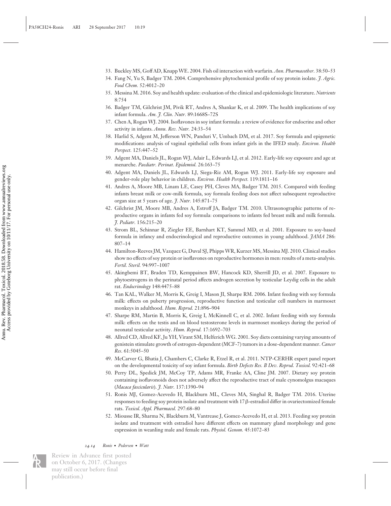- 33. Buckley MS, Goff AD, Knapp WE. 2004. Fish oil interaction with warfarin. *Ann. Pharmacother.* 38:50–53
- 34. Fang N, Yu S, Badger TM. 2004. Comprehensive phytochemical profile of soy protein isolate. *J. Agric. Food Chem.* 52:4012–20
- 35. Messina M. 2016. Soy and health update: evaluation of the clinical and epidemiologic literature. *Nutrients* 8:754
- 36. Badger TM, Gilchrist JM, Pivik RT, Andres A, Shankar K, et al. 2009. The health implications of soy infant formula. *Am. J. Clin. Nutr.* 89:1668S–72S
- 37. Chen A, Rogan WJ. 2004. Isoflavones in soy infant formula: a review of evidence for endocrine and other activity in infants. *Annu. Rev. Nutr.* 24:33–54
- 38. Harlid S, Adgent M, Jefferson WN, Panduri V, Umbach DM, et al. 2017. Soy formula and epigenetic modifications: analysis of vaginal epithelial cells from infant girls in the IFED study. *Environ. Health Perspect.* 125:447–52
- 39. Adgent MA, Daniels JL, Rogan WJ, Adair L, Edwards LJ, et al. 2012. Early-life soy exposure and age at menarche. *Paediatr. Perinat. Epidemiol.* 26:163–75
- 40. Adgent MA, Daniels JL, Edwards LJ, Siega-Riz AM, Rogan WJ. 2011. Early-life soy exposure and gender-role play behavior in children. *Environ. Health Perspect.* 119:1811–16
- 41. Andres A, Moore MB, Linam LE, Casey PH, Cleves MA, Badger TM. 2015. Compared with feeding infants breast milk or cow-milk formula, soy formula feeding does not affect subsequent reproductive organ size at 5 years of age. *J. Nutr.* 145:871–75
- 42. Gilchrist JM, Moore MB, Andres A, Estroff JA, Badger TM. 2010. Ultrasonographic patterns of reproductive organs in infants fed soy formula: comparisons to infants fed breast milk and milk formula. *J. Pediatr.* 156:215–20
- 43. Strom BL, Schinnar R, Ziegler EE, Barnhart KT, Sammel MD, et al. 2001. Exposure to soy-based formula in infancy and endocrinological and reproductive outcomes in young adulthood. *JAMA* 286: 807–14
- 44. Hamilton-Reeves JM, Vazquez G, Duval SJ, Phipps WR, Kurzer MS, Messina MJ. 2010. Clinical studies show no effects of soy protein or isoflavones on reproductive hormones in men: results of a meta-analysis. *Fertil. Steril.* 94:997–1007
- 45. Akingbemi BT, Braden TD, Kemppainen BW, Hancock KD, Sherrill JD, et al. 2007. Exposure to phytoestrogens in the perinatal period affects androgen secretion by testicular Leydig cells in the adult rat. *Endocrinology* 148:4475–88
- 46. Tan KAL, Walker M, Morris K, Greig I, Mason JI, Sharpe RM. 2006. Infant feeding with soy formula milk: effects on puberty progression, reproductive function and testicular cell numbers in marmoset monkeys in adulthood. *Hum. Reprod.* 21:896–904
- 47. Sharpe RM, Martin B, Morris K, Greig I, McKinnell C, et al. 2002. Infant feeding with soy formula milk: effects on the testis and on blood testosterone levels in marmoset monkeys during the period of neonatal testicular activity. *Hum. Reprod.* 17:1692–703
- 48. Allred CD, Allred KF, Ju YH, Virant SM, Helferich WG. 2001. Soy diets containing varying amounts of genistein stimulate growth of estrogen-dependent (MCF-7) tumors in a dose-dependent manner. *Cancer Res*. 61:5045–50
- 49. McCarver G, Bhatia J, Chambers C, Clarke R, Etzel R, et al. 2011. NTP-CERHR expert panel report on the developmental toxicity of soy infant formula. *Birth Defects Res. B Dev. Reprod. Toxicol.* 92:421–68
- 50. Perry DL, Spedick JM, McCoy TP, Adams MR, Franke AA, Cline JM. 2007. Dietary soy protein containing isoflavonoids does not adversely affect the reproductive tract of male cynomolgus macaques (*Macaca fascicularis*). *J. Nutr.* 137:1390–94
- 51. Ronis MJ, Gomez-Acevedo H, Blackburn ML, Cleves MA, Singhal R, Badger TM. 2016. Uterine responses to feeding soy protein isolate and treatment with 17β-estradiol differ in ovariectomized female rats. *Toxicol. Appl. Pharmacol.* 297:68–80
- 52. Miousse IR, Sharma N, Blackburn M, Vantrease J, Gomez-Acevedo H, et al. 2013. Feeding soy protein isolate and treatment with estradiol have different effects on mammary gland morphology and gene expression in weanling male and female rats. *Physiol. Genom.* 45:1072–83

*24.14 Ronis* · *Pedersen* · *Watt*

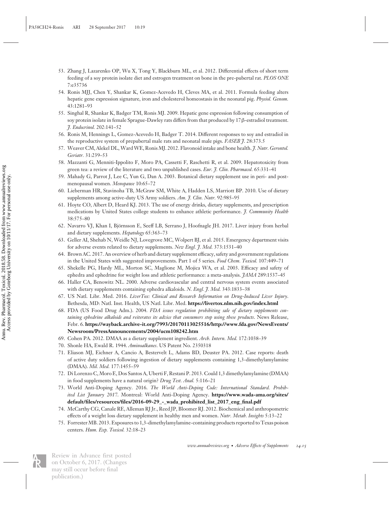- 53. Zhang J, Lazarenko OP, Wu X, Tong Y, Blackburn ML, et al. 2012. Differential effects of short term feeding of a soy protein isolate diet and estrogen treatment on bone in the pre-pubertal rat. *PLOS ONE* 7:e35736
- 54. Ronis MJJ, Chen Y, Shankar K, Gomez-Acevedo H, Cleves MA, et al. 2011. Formula feeding alters hepatic gene expression signature, iron and cholesterol homeostasis in the neonatal pig. *Physiol. Genom.* 43:1281–93
- 55. Singhal R, Shankar K, Badger TM, Ronis MJ. 2009. Hepatic gene expression following consumption of soy protein isolate in female Sprague-Dawley rats differs from that produced by 17β-estradiol treatment. *J. Endocrinol.* 202:141–52
- 56. Ronis M, Hennings L, Gomez-Acevedo H, Badger T. 2014. Different responses to soy and estradiol in the reproductive system of prepubertal male rats and neonatal male pigs. *FASEB J*. 28:373.5
- 57. Weaver CM, Alekel DL,WardWE, Ronis MJ. 2012. Flavonoid intake and bone health. *J. Nutr. Gerontol. Geriatr.* 31:239–53
- 58. Mazzanti G, Menniti-Ippolito F, Moro PA, Cassetti F, Raschetti R, et al. 2009. Hepatotoxicity from green tea: a review of the literature and two unpublished cases. *Eur. J. Clin. Pharmacol.* 65:331–41
- 59. Mahady G, Parrot J, Lee C, Yun G, Dan A. 2003. Botanical dietary supplement use in peri- and postmenopausal women. *Menopause* 10:65–72
- 60. Lieberman HR, Stavinoha TB, McGraw SM, White A, Hadden LS, Marriott BP. 2010. Use of dietary supplements among active-duty US Army soldiers. *Am. J. Clin. Nutr.* 92:985–95
- 61. Hoyte CO, Albert D, Heard KJ. 2013. The use of energy drinks, dietary supplements, and prescription medications by United States college students to enhance athletic performance. *J. Community Health* 38:575–80
- 62. Navarro VJ, Khan I, Bjornsson E, Seeff LB, Serrano J, Hoofnagle JH. 2017. Liver injury from herbal ¨ and dietary supplements. *Hepatology* 65:363–73
- 63. Geller AI, Shehab N, Weidle NJ, Lovegrove MC, Wolpert BJ, et al. 2015. Emergency department visits for adverse events related to dietary supplements. *New Engl. J. Med.* 373:1531–40
- 64. Brown AC. 2017. An overview of herb and dietary supplement efficacy, safety and government regulations in the United States with suggested improvements. Part 1 of 5 series. *Food Chem. Toxicol.* 107:449–71
- 65. Shekelle PG, Hardy ML, Morton SC, Maglione M, Mojica WA, et al. 2003. Efficacy and safety of ephedra and ephedrine for weight loss and athletic performance: a meta-analysis. *JAMA* 289:1537–45
- 66. Haller CA, Benowitz NL. 2000. Adverse cardiovascular and central nervous system events associated with dietary supplements containing ephedra alkaloids. *N. Engl. J. Med.* 343:1833–38
- 67. US Natl. Libr. Med. 2016. *LiverTox: Clinical and Research Information on Drug-Induced Liver Injury*. Bethesda, MD: Natl. Inst. Health, US Natl. Libr. Med. **<https://livertox.nlm.nih.gov/index.html>**
- 68. FDA (US Food Drug Adm.). 2004. *FDA issues regulation prohibiting sale of dietary supplements containing ephedrine alkaloids and reiterates its advice that consumers stop using these products*. News Release, Febr. 6. **[https://wayback.archive-it.org/7993/20170113025516/http://www.fda.gov/NewsEvents/](https://wayback.archive-it.org/7993/20170113025516/http://www.fda.gov/NewsEvents/Newsroom/PressAnnouncements/2004/ucm108242.htm) [Newsroom/PressAnnouncements/2004/ucm108242.htm](https://wayback.archive-it.org/7993/20170113025516/http://www.fda.gov/NewsEvents/Newsroom/PressAnnouncements/2004/ucm108242.htm)**
- 69. Cohen PA. 2012. DMAA as a dietary supplement ingredient. *Arch. Intern. Med.* 172:1038–39
- 70. Shonle HA, Ewald R. 1944. *Aminoalkanes*. US Patent No. 2350318
- 71. Eliason MJ, Eichner A, Cancio A, Bestervelt L, Adams BD, Deuster PA. 2012. Case reports: death of active duty soldiers following ingestion of dietary supplements containing 1,3-dimethylamylamine (DMAA). *Mil. Med.* 177:1455–59
- 72. Di Lorenzo C, Moro E, Dos Santos A, Uberti F, Restani P. 2013. Could 1,3 dimethylamylamine (DMAA) in food supplements have a natural origin? *Drug Test. Anal.* 5:116–21
- 73. World Anti-Doping Agency. 2016. *The World Anti-Doping Code: International Standard. Prohibited List January 2017*. Montreal: World Anti-Doping Agency. **[https://www.wada-ama.org/sites/](https://www.wada-ama.org/sites/default/files/resources/files/2016-09-29_-_wada_prohibited_list_2017_eng_final.pdf) [default/files/resources/files/2016-09-29\\_-\\_wada\\_prohibited\\_list\\_2017\\_eng\\_final.pdf](https://www.wada-ama.org/sites/default/files/resources/files/2016-09-29_-_wada_prohibited_list_2017_eng_final.pdf)**
- 74. McCarthy CG, Canale RE, Alleman RJ Jr., Reed JP, Bloomer RJ. 2012. Biochemical and anthropometric effects of a weight loss dietary supplement in healthy men and women. *Nutr. Metab. Insights* 5:13–22
- 75. Forrester MB. 2013. Exposures to 1,3-dimethylamylamine-containing products reported to Texas poison centers. *Hum. Exp. Toxicol.* 32:18–23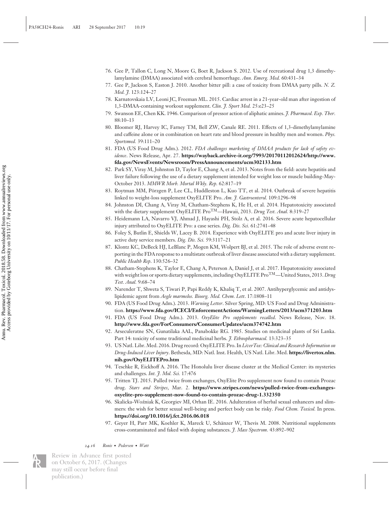- 76. Gee P, Tallon C, Long N, Moore G, Boet R, Jackson S. 2012. Use of recreational drug 1,3 dimethylamylamine (DMAA) associated with cerebral hemorrhage. *Ann. Emerg. Med.* 60:431–34
- 77. Gee P, Jackson S, Easton J. 2010. Another bitter pill: a case of toxicity from DMAA party pills. *N. Z. Med. J.* 123:124–27
- 78. Karnatovskaia LV, Leoni JC, Freeman ML. 2015. Cardiac arrest in a 21-year-old man after ingestion of 1,3-DMAA-containing workout supplement. *Clin. J. Sport Med.* 25:e23–25
- 79. Swanson EE, Chen KK. 1946. Comparison of pressor action of aliphatic amines. *J. Pharmacol. Exp. Ther.* 88:10–13
- 80. Bloomer RJ, Harvey IC, Farney TM, Bell ZW, Canale RE. 2011. Effects of 1,3-dimethylamylamine and caffeine alone or in combination on heart rate and blood pressure in healthy men and women. *Phys. Sportsmed.* 39:111–20
- 81. FDA (US Food Drug Adm.). 2012. *FDA challenges marketing of DMAA products for lack of safety evidence*. News Release, Apr. 27. **[https://wayback.archive-it.org/7993/20170112012624/http://www.](https://wayback.archive-it.org/7993/20170112012624/http://www.fda.gov/NewsEvents/Newsroom/PressAnnouncements/ucm302133.htm) [fda.gov/NewsEvents/Newsroom/PressAnnouncements/ucm302133.htm](https://wayback.archive-it.org/7993/20170112012624/http://www.fda.gov/NewsEvents/Newsroom/PressAnnouncements/ucm302133.htm)**
- 82. Park SY, Viray M, Johnston D, Taylor E, Chang A, et al. 2013. Notes from the field: acute hepatitis and liver failure following the use of a dietary supplement intended for weight loss or muscle building-May-October 2013. *MMWR Morb. Mortal Wkly. Rep.* 62:817–19
- 83. Roytman MM, Pörzgen P, Lee CL, Huddleston L, Kuo TT, et al. 2014. Outbreak of severe hepatitis linked to weight-loss supplement OxyELITE Pro. *Am. J. Gastroenterol.* 109:1296–98
- 84. Johnston DI, Chang A, Viray M, Chatham-Stephens K, He H, et al. 2014. Hepatotoxicity associated with the dietary supplement OxyELITE ProTM—Hawaii, 2013. *Drug Test. Anal.* 8:319–27
- 85. Heidemann LA, Navarro VJ, Ahmad J, Hayashi PH, Stolz A, et al. 2016. Severe acute hepatocellular injury attributed to OxyELITE Pro: a case series. *Dig. Dis. Sci.* 61:2741–48
- 86. Foley S, Butlin E, Shields W, Lacey B. 2014. Experience with OxyELITE pro and acute liver injury in active duty service members. *Dig. Dis. Sci.* 59:3117–21
- 87. Klontz KC, DeBeck HJ, LeBlanc P, Mogen KM, Wolpert BJ, et al. 2015. The role of adverse event reporting in the FDA response to a multistate outbreak of liver disease associated with a dietary supplement. *Public Health Rep*. 130:526–32
- 88. Chatham-Stephens K, Taylor E, Chang A, Peterson A, Daniel J, et al. 2017. Hepatotoxicity associated with weight loss or sports dietary supplements, including OxyELITE ProTM—United States, 2013. *Drug Test. Anal.* 9:68–74
- 89. Narender T, Shweta S, Tiwari P, Papi Reddy K, Khaliq T, et al. 2007. Antihyperglycemic and antidyslipidemic agent from *Aegle marmelos. Bioorg. Med. Chem. Lett*. 17:1808–11
- 90. FDA (US Food Drug Adm.). 2013. *Warning Letter*. Silver Spring, MD: US Food and Drug Administration. **<https://www.fda.gov/ICECI/EnforcementActions/WarningLetters/2013/ucm371203.htm>**
- 91. FDA (US Food Drug Adm.). 2013. *OxyElite Pro supplements recalled*. News Release, Nov. 18. **<http://www.fda.gov/ForConsumers/ConsumerUpdates/ucm374742.htm>**
- 92. Arseculeratne SN, Gunatilaka AAL, Panabokke RG. 1985. Studies on medicinal plants of Sri Lanka. Part 14: toxicity of some traditional medicinal herbs. *J. Ethnopharmacol.* 13:323–35
- 93. US Natl. Libr. Med. 2016. Drug record: OxyELITE Pro. In *LiverTox: Clinical and Research Information on Drug-Induced Liver Injury*. Bethesda, MD: Natl. Inst. Health, US Natl. Libr. Med. **[https://livertox.nlm.](https://livertox.nlm.nih.gov/OxyELITEPro.htm) [nih.gov/OxyELITEPro.htm](https://livertox.nlm.nih.gov/OxyELITEPro.htm)**
- 94. Teschke R, Eickhoff A. 2016. The Honolulu liver disease cluster at the Medical Center: its mysteries and challenges. *Int. J. Mol. Sci.* 17:476
- 95. Tritten TJ. 2015. Pulled twice from exchanges, OxyElite Pro supplement now found to contain Prozac drug. *Stars and Stripes*, Mar. 2. **[https://www.stripes.com/news/pulled-twice-from-exchanges](https://www.stripes.com/news/pulled-twice-from-exchanges-oxyelite-pro-supplement-now-found-to-contain-prozac-drug-1.332350)[oxyelite-pro-supplement-now-found-to-contain-prozac-drug-1.332350](https://www.stripes.com/news/pulled-twice-from-exchanges-oxyelite-pro-supplement-now-found-to-contain-prozac-drug-1.332350)**
- 96. Skalicka-Wozniak K, Georgiev MI, Orhan IE. 2016. Adulteration of herbal sexual enhancers and slim- ´ mers: the wish for better sexual well-being and perfect body can be risky. *Food Chem. Toxicol.* In press. **<https://doi.org/10.1016/j.fct.2016.06.018>**
- 97. Geyer H, Parr MK, Koehler K, Mareck U, Schänzer W, Thevis M. 2008. Nutritional supplements cross-contaminated and faked with doping substances. *J. Mass Spectrom.* 43:892–902

*24.16 Ronis* · *Pedersen* · *Watt*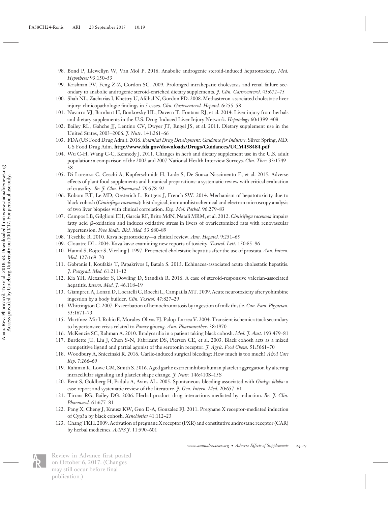- 98. Bond P, Llewellyn W, Van Mol P. 2016. Anabolic androgenic steroid-induced hepatotoxicity. *Med. Hypotheses* 93:150–53
- 99. Krishnan PV, Feng Z-Z, Gordon SC. 2009. Prolonged intrahepatic cholestasis and renal failure secondary to anabolic androgenic steroid-enriched dietary supplements. *J. Clin. Gastroenterol.* 43:672–75
- 100. Shah NL, Zacharias I, Khettry U, Afdhal N, Gordon FD. 2008. Methasteron-associated cholestatic liver injury: clinicopathologic findings in 5 cases. *Clin. Gastroenterol. Hepatol.* 6:255–58
- 101. Navarro VJ, Barnhart H, Bonkovsky HL, Davern T, Fontana RJ, et al. 2014. Liver injury from herbals and dietary supplements in the U.S. Drug-Induced Liver Injury Network. *Hepatology* 60:1399–408
- 102. Bailey RL, Gahche JJ, Lentino CV, Dwyer JT, Engel JS, et al. 2011. Dietary supplement use in the United States, 2003–2006. *J. Nutr.* 141:261–66
- 103. FDA (US Food Drug Adm.). 2016. *Botanical Drug Development: Guidance for Industry*. Silver Spring, MD: US Food Drug Adm. **<http://www.fda.gov/downloads/Drugs/Guidances/UCM458484.pdf>**
- 104. Wu C-H, Wang C-C, Kennedy J. 2011. Changes in herb and dietary supplement use in the U.S. adult population: a comparison of the 2002 and 2007 National Health Interview Surveys. *Clin. Ther.* 33:1749– 58
- 105. Di Lorenzo C, Ceschi A, Kupferschmidt H, Lude S, De Souza Nascimento E, et al. 2015. Adverse effects of plant food supplements and botanical preparations: a systematic review with critical evaluation of causality. *Br. J. Clin. Pharmacol.* 79:578–92
- 106. Enbom ET, Le MD, Oesterich L, Rutgers J, French SW. 2014. Mechanism of hepatotoxicity due to black cohosh (*Cimicifuga racemosa*): histological, immunohistochemical and electron microscopy analysis of two liver biopsies with clinical correlation. *Exp. Mol. Pathol.* 96:279–83
- 107. Campos LB, Gilglioni EH, Garcia RF, Brito MdN, Natali MRM, et al. 2012. *Cimicifuga racemosa* impairs fatty acid β-oxidation and induces oxidative stress in livers of ovariectomized rats with renovascular hypertension. *Free Radic. Biol. Med.* 53:680–89
- 108. Teschke R. 2010. Kava hepatotoxicity—a clinical review. *Ann. Hepatol.* 9:251–65
- 109. Clouatre DL. 2004. Kava kava: examining new reports of toxicity. *Toxicol. Lett.* 150:85–96
- 110. Hamid S, Rojter S, Vierling J. 1997. Protracted cholestatic hepatitis after the use of prostata. *Ann. Intern. Med.* 127:169–70
- 111. Gabranis I, Koufakis T, Papakrivos I, Batala S. 2015. Echinacea-associated acute cholestatic hepatitis. *J. Postgrad. Med.* 61:211–12
- 112. Kia YH, Alexander S, Dowling D, Standish R. 2016. A case of steroid-responsive valerian-associated hepatitis. *Intern. Med. J.* 46:118–19
- 113. Giampreti A, Lonati D, Locatelli C, Rocchi L, Campailla MT. 2009. Acute neurotoxicity after yohimbine ingestion by a body builder. *Clin. Toxicol.* 47:827–29
- 114. Whittington C. 2007. Exacerbation of hemochromatosis by ingestion of milk thistle. *Can. Fam. Physician.* 53:1671–73
- 115. Martínez-Mir I, Rubio E, Morales-Olivas FJ, Palop-Larrea V. 2004. Transient ischemic attack secondary to hypertensive crisis related to *Panax ginseng. Ann. Pharmacother*. 38:1970
- 116. McKenzie SC, Rahman A. 2010. Bradycardia in a patient taking black cohosh. *Med. J. Aust.* 193:479–81
- 117. Burdette JE, Liu J, Chen S-N, Fabricant DS, Piersen CE, et al. 2003. Black cohosh acts as a mixed competitive ligand and partial agonist of the serotonin receptor. *J. Agric. Food Chem.* 51:5661–70
- 118. Woodbury A, Sniecinski R. 2016. Garlic-induced surgical bleeding: How much is too much? *A&A Case Rep*. 7:266–69
- 119. Rahman K, Lowe GM, Smith S. 2016. Aged garlic extract inhibits human platelet aggregation by altering intracellular signaling and platelet shape change. *J. Nutr.* 146:410S–15S
- 120. Bent S, Goldberg H, Padula A, Avins AL. 2005. Spontaneous bleeding associated with *Ginkgo biloba*: a case report and systematic review of the literature. *J. Gen. Intern. Med.* 20:657–61
- 121. Tirona RG, Bailey DG. 2006. Herbal product–drug interactions mediated by induction. *Br. J. Clin. Pharmacol.* 61:677–81
- 122. Pang X, Cheng J, Krausz KW, Guo D-A, Gonzalez FJ. 2011. Pregnane X receptor-mediated induction of Cyp3a by black cohosh. *Xenobiotica* 41:112–23
- 123. Chang TKH. 2009. Activation of pregnane X receptor (PXR) and constitutive androstane receptor (CAR) by herbal medicines. *AAPS J*. 11:590–601

*www.annualreviews.org* • *Adverse Effects of Supplements 24.17*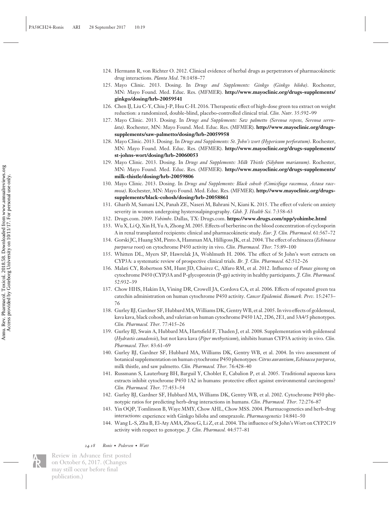- 124. Hermann R, von Richter O. 2012. Clinical evidence of herbal drugs as perpetrators of pharmacokinetic drug interactions. *Planta Med*. 78:1458–77
- 125. Mayo Clinic. 2013. Dosing. In *Drugs and Supplements: Ginkgo (Ginkgo biloba)*. Rochester, MN: Mayo Found. Med. Educ. Res. (MFMER). **[http://www.mayoclinic.org/drugs-supplements/](http://www.mayoclinic.org/drugs-supplements/ginkgo/dosing/hrb-20059541) [ginkgo/dosing/hrb-20059541](http://www.mayoclinic.org/drugs-supplements/ginkgo/dosing/hrb-20059541)**
- 126. Chen IJ, Liu C-Y, Chiu J-P, Hsu C-H. 2016. Therapeutic effect of high-dose green tea extract on weight reduction: a randomized, double-blind, placebo-controlled clinical trial. *Clin. Nutr.* 35:592–99
- 127. Mayo Clinic. 2013. Dosing. In *Drugs and Supplements: Saw palmetto (Serenoa repens, Serenoa serrulata)*. Rochester, MN: Mayo Found. Med. Educ. Res. (MFMER). **[http://www.mayoclinic.org/drugs](http://www.mayoclinic.org/drugs-supplements/saw-palmetto/dosing/hrb-20059958)[supplements/saw-palmetto/dosing/hrb-20059958](http://www.mayoclinic.org/drugs-supplements/saw-palmetto/dosing/hrb-20059958)**
- 128. Mayo Clinic. 2013. Dosing. In *Drugs and Supplements: St. John's wort (Hypericum perforatum)*. Rochester, MN: Mayo Found. Med. Educ. Res. (MFMER). **[http://www.mayoclinic.org/drugs-supplements/](http://www.mayoclinic.org/drugs-supplements/st-johns-wort/dosing/hrb-20060053) [st-johns-wort/dosing/hrb-20060053](http://www.mayoclinic.org/drugs-supplements/st-johns-wort/dosing/hrb-20060053)**
- 129. Mayo Clinic. 2013. Dosing. In *Drugs and Supplements: Milk Thistle (Silybum marianum)*. Rochester, MN: Mayo Found. Med. Educ. Res. (MFMER). **[http://www.mayoclinic.org/drugs-supplements/](http://www.mayoclinic.org/drugs-supplements/milk-thistle/dosing/hrb-20059806) [milk-thistle/dosing/hrb-20059806](http://www.mayoclinic.org/drugs-supplements/milk-thistle/dosing/hrb-20059806)**
- 130. Mayo Clinic. 2013. Dosing. In *Drugs and Supplements: Black cohosh (Cimicifuga racemosa, Actaea racemosa)*. Rochester, MN: Mayo Found. Med. Educ. Res. (MFMER). **[http://www.mayoclinic.org/drugs](http://www.mayoclinic.org/drugs-supplements/black-cohosh/dosing/hrb-20058861)[supplements/black-cohosh/dosing/hrb-20058861](http://www.mayoclinic.org/drugs-supplements/black-cohosh/dosing/hrb-20058861)**
- 131. Gharib M, Samani LN, Panah ZE, Naseri M, Bahrani N, Kiani K. 2015. The effect of valeric on anxiety severity in women undergoing hysterosalpingography. *Glob. J. Health Sci.* 7:358–63
- 132. Drugs.com. 2009. *Yohimbe*. Dallas, TX: Drugs.com. **<https://www.drugs.com/npp/yohimbe.html>**
- 133. Wu X, Li Q, Xin H, Yu A, Zhong M. 2005. Effects of berberine on the blood concentration of cyclosporin A in renal transplanted recipients: clinical and pharmacokinetic study. *Eur. J. Clin. Pharmacol.* 61:567–72
- 134. Gorski JC, Huang SM, Pinto A, Hamman MA, Hilligoss JK, et al. 2004. The effect of echinacea (*Echinacea purpurea* root) on cytochrome P450 activity in vivo. *Clin. Pharmacol. Ther.* 75:89–100
- 135. Whitten DL, Myers SP, Hawrelak JA, Wohlmuth H. 2006. The effect of St John's wort extracts on CYP3A: a systematic review of prospective clinical trials. *Br. J. Clin. Pharmacol.* 62:512–26
- 136. Malati CY, Robertson SM, Hunt JD, Chairez C, Alfaro RM, et al. 2012. Influence of *Panax ginseng* on cytochrome P450 (CYP)3A and P-glycoprotein (P-gp) activity in healthy participants. *J. Clin. Pharmacol.* 52:932–39
- 137. Chow HHS, Hakim IA, Vining DR, Crowell JA, Cordova CA, et al. 2006. Effects of repeated green tea catechin administration on human cytochrome P450 activity. *Cancer Epidemiol. Biomark. Prev.* 15:2473– 76
- 138. Gurley BJ, Gardner SF, HubbardMA,Williams DK, GentryWB, et al. 2005. In vivo effects of goldenseal, kava kava, black cohosh, and valerian on human cytochrome P450 1A2, 2D6, 2E1, and 3A4/5 phenotypes. *Clin. Pharmacol. Ther.* 77:415–26
- 139. Gurley BJ, Swain A, Hubbard MA, Hartsfield F, Thaden J, et al. 2008. Supplementation with goldenseal (*Hydrastis canadensis*), but not kava kava (*Piper methysticum*), inhibits human CYP3A activity in vivo. *Clin. Pharmacol. Ther.* 83:61–69
- 140. Gurley BJ, Gardner SF, Hubbard MA, Williams DK, Gentry WB, et al. 2004. In vivo assessment of botanical supplementation on human cytochrome P450 phenotypes:*Citrus aurantium*,*Echinacea purpurea*, milk thistle, and saw palmetto. *Clin. Pharmacol. Ther.* 76:428–40
- 141. Russmann S, Lauterburg BH, Barguil Y, Choblet E, Cabalion P, et al. 2005. Traditional aqueous kava extracts inhibit cytochrome P450 1A2 in humans: protective effect against environmental carcinogens? *Clin. Pharmacol. Ther.* 77:453–54
- 142. Gurley BJ, Gardner SF, Hubbard MA, Williams DK, Gentry WB, et al. 2002. Cytochrome P450 phenotypic ratios for predicting herb-drug interactions in humans. *Clin. Pharmacol. Ther.* 72:276–87
- 143. Yin OQP, Tomlinson B, Waye MMY, Chow AHL, Chow MSS. 2004. Pharmacogenetics and herb-drug interactions: experience with Ginkgo biloba and omeprazole. *Pharmacogenetics* 14:841–50
- 144. Wang L-S, Zhu B, El-Aty AMA, Zhou G, Li Z, et al. 2004. The influence of St John's Wort on CYP2C19 activity with respect to genotype. *J. Clin. Pharmacol.* 44:577–81

*24.18 Ronis* · *Pedersen* · *Watt*